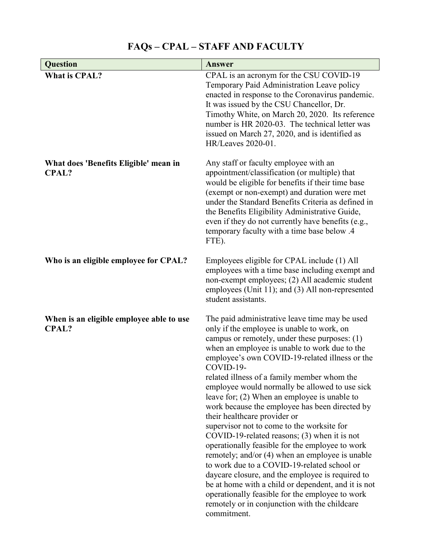## **Question Answer What is CPAL?** CPAL is an acronym for the CSU COVID-19 Temporary Paid Administration Leave policy enacted in response to the Coronavirus pandemic. It was issued by the CSU Chancellor, Dr. Timothy White, on March 20, 2020. Its reference number is HR 2020-03. The technical letter was issued on March 27, 2020, and is identified as HR/Leaves 2020-01. **What does 'Benefits Eligible' mean in CPAL?** Any staff or faculty employee with an appointment/classification (or multiple) that would be eligible for benefits if their time base (exempt or non-exempt) and duration were met under the Standard Benefits Criteria as defined in the Benefits Eligibility Administrative Guide, even if they do not currently have benefits (e.g., temporary faculty with a time base below .4 FTE). **Who is an eligible employee for CPAL?** Employees eligible for CPAL include (1) All employees with a time base including exempt and non-exempt employees; (2) All academic student employees (Unit 11); and (3) All non-represented student assistants. **When is an eligible employee able to use CPAL?** The paid administrative leave time may be used only if the employee is unable to work, on campus or remotely, under these purposes: (1) when an employee is unable to work due to the employee's own COVID-19-related illness or the COVID-19 related illness of a family member whom the employee would normally be allowed to use sick leave for; (2) When an employee is unable to work because the employee has been directed by their healthcare provider or supervisor not to come to the worksite for COVID-19-related reasons; (3) when it is not operationally feasible for the employee to work remotely; and/or (4) when an employee is unable to work due to a COVID-19-related school or daycare closure, and the employee is required to be at home with a child or dependent, and it is not operationally feasible for the employee to work remotely or in conjunction with the childcare commitment.

## **FAQs – CPAL – STAFF AND FACULTY**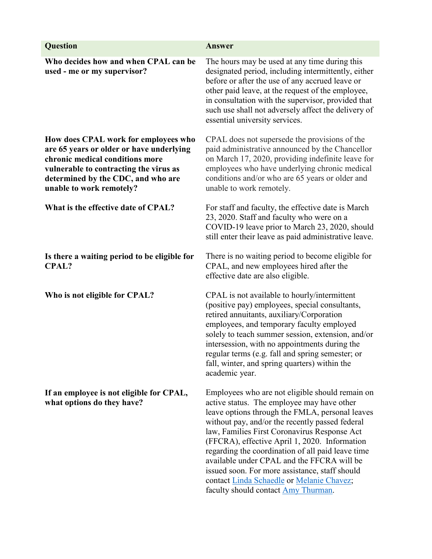| <b>Question</b>                                                                                                                                                                                                                 | Answer                                                                                                                                                                                                                                                                                                                                                                                                                                                                                                                                        |
|---------------------------------------------------------------------------------------------------------------------------------------------------------------------------------------------------------------------------------|-----------------------------------------------------------------------------------------------------------------------------------------------------------------------------------------------------------------------------------------------------------------------------------------------------------------------------------------------------------------------------------------------------------------------------------------------------------------------------------------------------------------------------------------------|
| Who decides how and when CPAL can be<br>used - me or my supervisor?                                                                                                                                                             | The hours may be used at any time during this<br>designated period, including intermittently, either<br>before or after the use of any accrued leave or<br>other paid leave, at the request of the employee,<br>in consultation with the supervisor, provided that<br>such use shall not adversely affect the delivery of<br>essential university services.                                                                                                                                                                                   |
| How does CPAL work for employees who<br>are 65 years or older or have underlying<br>chronic medical conditions more<br>vulnerable to contracting the virus as<br>determined by the CDC, and who are<br>unable to work remotely? | CPAL does not supersede the provisions of the<br>paid administrative announced by the Chancellor<br>on March 17, 2020, providing indefinite leave for<br>employees who have underlying chronic medical<br>conditions and/or who are 65 years or older and<br>unable to work remotely.                                                                                                                                                                                                                                                         |
| What is the effective date of CPAL?                                                                                                                                                                                             | For staff and faculty, the effective date is March<br>23, 2020. Staff and faculty who were on a<br>COVID-19 leave prior to March 23, 2020, should<br>still enter their leave as paid administrative leave.                                                                                                                                                                                                                                                                                                                                    |
| Is there a waiting period to be eligible for<br><b>CPAL?</b>                                                                                                                                                                    | There is no waiting period to become eligible for<br>CPAL, and new employees hired after the<br>effective date are also eligible.                                                                                                                                                                                                                                                                                                                                                                                                             |
| Who is not eligible for CPAL?                                                                                                                                                                                                   | CPAL is not available to hourly/intermittent<br>(positive pay) employees, special consultants,<br>retired annuitants, auxiliary/Corporation<br>employees, and temporary faculty employed<br>solely to teach summer session, extension, and/or<br>intersession, with no appointments during the<br>regular terms (e.g. fall and spring semester; or<br>fall, winter, and spring quarters) within the<br>academic year.                                                                                                                         |
| If an employee is not eligible for CPAL,<br>what options do they have?                                                                                                                                                          | Employees who are not eligible should remain on<br>active status. The employee may have other<br>leave options through the FMLA, personal leaves<br>without pay, and/or the recently passed federal<br>law, Families First Coronavirus Response Act<br>(FFCRA), effective April 1, 2020. Information<br>regarding the coordination of all paid leave time<br>available under CPAL and the FFCRA will be<br>issued soon. For more assistance, staff should<br>contact Linda Schaedle or Melanie Chavez;<br>faculty should contact Amy Thurman. |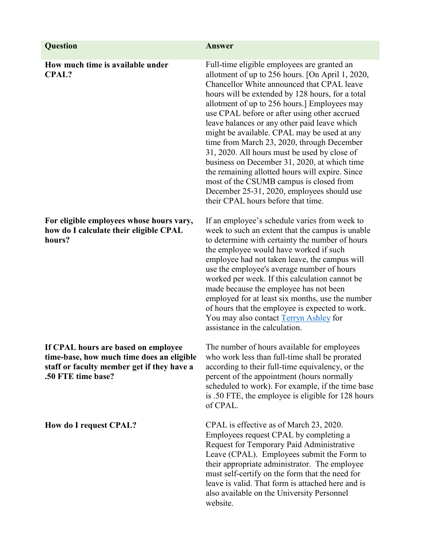| <b>Question</b>                                                                                                                                      | <b>Answer</b>                                                                                                                                                                                                                                                                                                                                                                                                                                                                                                                                                                                                                                                                                                                    |
|------------------------------------------------------------------------------------------------------------------------------------------------------|----------------------------------------------------------------------------------------------------------------------------------------------------------------------------------------------------------------------------------------------------------------------------------------------------------------------------------------------------------------------------------------------------------------------------------------------------------------------------------------------------------------------------------------------------------------------------------------------------------------------------------------------------------------------------------------------------------------------------------|
|                                                                                                                                                      |                                                                                                                                                                                                                                                                                                                                                                                                                                                                                                                                                                                                                                                                                                                                  |
| How much time is available under<br><b>CPAL?</b>                                                                                                     | Full-time eligible employees are granted an<br>allotment of up to 256 hours. [On April 1, 2020,<br>Chancellor White announced that CPAL leave<br>hours will be extended by 128 hours, for a total<br>allotment of up to 256 hours.] Employees may<br>use CPAL before or after using other accrued<br>leave balances or any other paid leave which<br>might be available. CPAL may be used at any<br>time from March 23, 2020, through December<br>31, 2020. All hours must be used by close of<br>business on December 31, 2020, at which time<br>the remaining allotted hours will expire. Since<br>most of the CSUMB campus is closed from<br>December 25-31, 2020, employees should use<br>their CPAL hours before that time. |
| For eligible employees whose hours vary,<br>how do I calculate their eligible CPAL<br>hours?                                                         | If an employee's schedule varies from week to<br>week to such an extent that the campus is unable<br>to determine with certainty the number of hours<br>the employee would have worked if such<br>employee had not taken leave, the campus will<br>use the employee's average number of hours<br>worked per week. If this calculation cannot be<br>made because the employee has not been<br>employed for at least six months, use the number<br>of hours that the employee is expected to work.<br>You may also contact Terryn Ashley for<br>assistance in the calculation.                                                                                                                                                     |
| If CPAL hours are based on employee<br>time-base, how much time does an eligible<br>staff or faculty member get if they have a<br>.50 FTE time base? | The number of hours available for employees<br>who work less than full-time shall be prorated<br>according to their full-time equivalency, or the<br>percent of the appointment (hours normally<br>scheduled to work). For example, if the time base<br>is .50 FTE, the employee is eligible for 128 hours<br>of CPAL.                                                                                                                                                                                                                                                                                                                                                                                                           |
| How do I request CPAL?                                                                                                                               | CPAL is effective as of March 23, 2020.<br>Employees request CPAL by completing a<br>Request for Temporary Paid Administrative<br>Leave (CPAL). Employees submit the Form to<br>their appropriate administrator. The employee<br>must self-certify on the form that the need for<br>leave is valid. That form is attached here and is<br>also available on the University Personnel<br>website.                                                                                                                                                                                                                                                                                                                                  |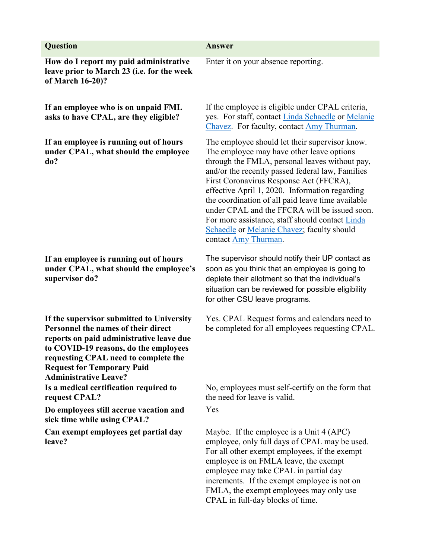| <b>Question</b>                                                                                                                                                                                                                                                                    | Answer                                                                                                                                                                                                                                                                                                                                                                                                                                                                                                                        |
|------------------------------------------------------------------------------------------------------------------------------------------------------------------------------------------------------------------------------------------------------------------------------------|-------------------------------------------------------------------------------------------------------------------------------------------------------------------------------------------------------------------------------------------------------------------------------------------------------------------------------------------------------------------------------------------------------------------------------------------------------------------------------------------------------------------------------|
| How do I report my paid administrative<br>leave prior to March 23 (i.e. for the week<br>of March 16-20)?                                                                                                                                                                           | Enter it on your absence reporting.                                                                                                                                                                                                                                                                                                                                                                                                                                                                                           |
| If an employee who is on unpaid FML<br>asks to have CPAL, are they eligible?                                                                                                                                                                                                       | If the employee is eligible under CPAL criteria,<br>yes. For staff, contact Linda Schaedle or Melanie<br>Chavez. For faculty, contact Amy Thurman.                                                                                                                                                                                                                                                                                                                                                                            |
| If an employee is running out of hours<br>under CPAL, what should the employee<br>do?                                                                                                                                                                                              | The employee should let their supervisor know.<br>The employee may have other leave options<br>through the FMLA, personal leaves without pay,<br>and/or the recently passed federal law, Families<br>First Coronavirus Response Act (FFCRA),<br>effective April 1, 2020. Information regarding<br>the coordination of all paid leave time available<br>under CPAL and the FFCRA will be issued soon.<br>For more assistance, staff should contact Linda<br>Schaedle or Melanie Chavez; faculty should<br>contact Amy Thurman. |
| If an employee is running out of hours<br>under CPAL, what should the employee's<br>supervisor do?                                                                                                                                                                                 | The supervisor should notify their UP contact as<br>soon as you think that an employee is going to<br>deplete their allotment so that the individual's<br>situation can be reviewed for possible eligibility<br>for other CSU leave programs.                                                                                                                                                                                                                                                                                 |
| If the supervisor submitted to University<br>Personnel the names of their direct<br>reports on paid administrative leave due<br>to COVID-19 reasons, do the employees<br>requesting CPAL need to complete the<br><b>Request for Temporary Paid</b><br><b>Administrative Leave?</b> | Yes. CPAL Request forms and calendars need to<br>be completed for all employees requesting CPAL.                                                                                                                                                                                                                                                                                                                                                                                                                              |
| Is a medical certification required to<br>request CPAL?                                                                                                                                                                                                                            | No, employees must self-certify on the form that<br>the need for leave is valid.                                                                                                                                                                                                                                                                                                                                                                                                                                              |
| Do employees still accrue vacation and<br>sick time while using CPAL?                                                                                                                                                                                                              | Yes                                                                                                                                                                                                                                                                                                                                                                                                                                                                                                                           |
| Can exempt employees get partial day<br>leave?                                                                                                                                                                                                                                     | Maybe. If the employee is a Unit 4 (APC)<br>employee, only full days of CPAL may be used.<br>For all other exempt employees, if the exempt<br>employee is on FMLA leave, the exempt<br>employee may take CPAL in partial day<br>increments. If the exempt employee is not on<br>FMLA, the exempt employees may only use                                                                                                                                                                                                       |

CPAL in full-day blocks of time.